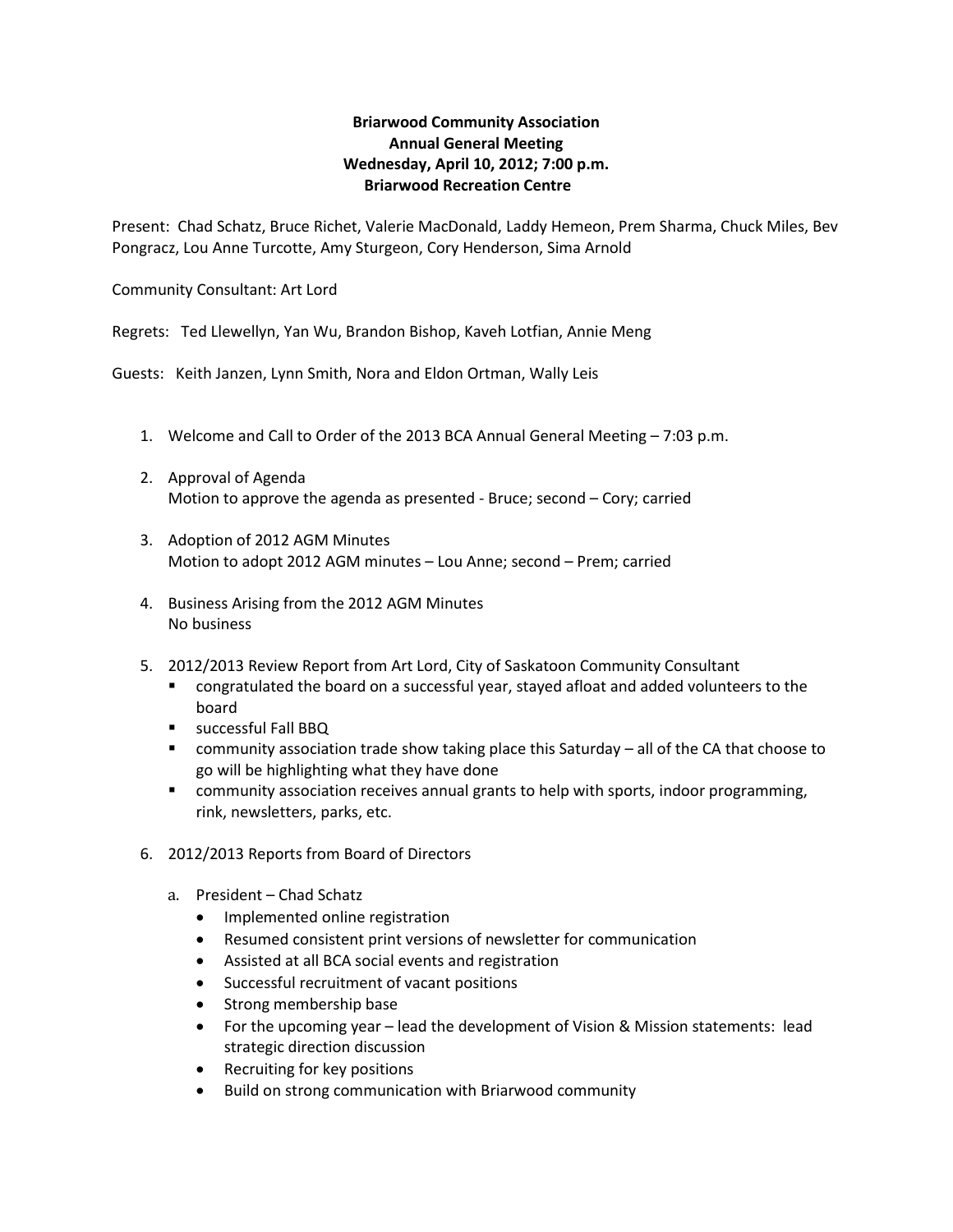## **Briarwood Community Association Annual General Meeting Wednesday, April 10, 2012; 7:00 p.m. Briarwood Recreation Centre**

Present: Chad Schatz, Bruce Richet, Valerie MacDonald, Laddy Hemeon, Prem Sharma, Chuck Miles, Bev Pongracz, Lou Anne Turcotte, Amy Sturgeon, Cory Henderson, Sima Arnold

Community Consultant: Art Lord

Regrets: Ted Llewellyn, Yan Wu, Brandon Bishop, Kaveh Lotfian, Annie Meng

Guests: Keith Janzen, Lynn Smith, Nora and Eldon Ortman, Wally Leis

- 1. Welcome and Call to Order of the 2013 BCA Annual General Meeting 7:03 p.m.
- 2. Approval of Agenda Motion to approve the agenda as presented - Bruce; second – Cory; carried
- 3. Adoption of 2012 AGM Minutes Motion to adopt 2012 AGM minutes – Lou Anne; second – Prem; carried
- 4. Business Arising from the 2012 AGM Minutes No business
- 5. 2012/2013 Review Report from Art Lord, City of Saskatoon Community Consultant
	- congratulated the board on a successful year, stayed afloat and added volunteers to the board
	- **SUCCESSFUL Fall BBQ**
	- community association trade show taking place this Saturday all of the CA that choose to go will be highlighting what they have done
	- community association receives annual grants to help with sports, indoor programming, rink, newsletters, parks, etc.
- 6. 2012/2013 Reports from Board of Directors
	- a. President Chad Schatz
		- Implemented online registration
		- Resumed consistent print versions of newsletter for communication
		- Assisted at all BCA social events and registration
		- Successful recruitment of vacant positions
		- Strong membership base
		- For the upcoming year lead the development of Vision & Mission statements: lead strategic direction discussion
		- Recruiting for key positions
		- Build on strong communication with Briarwood community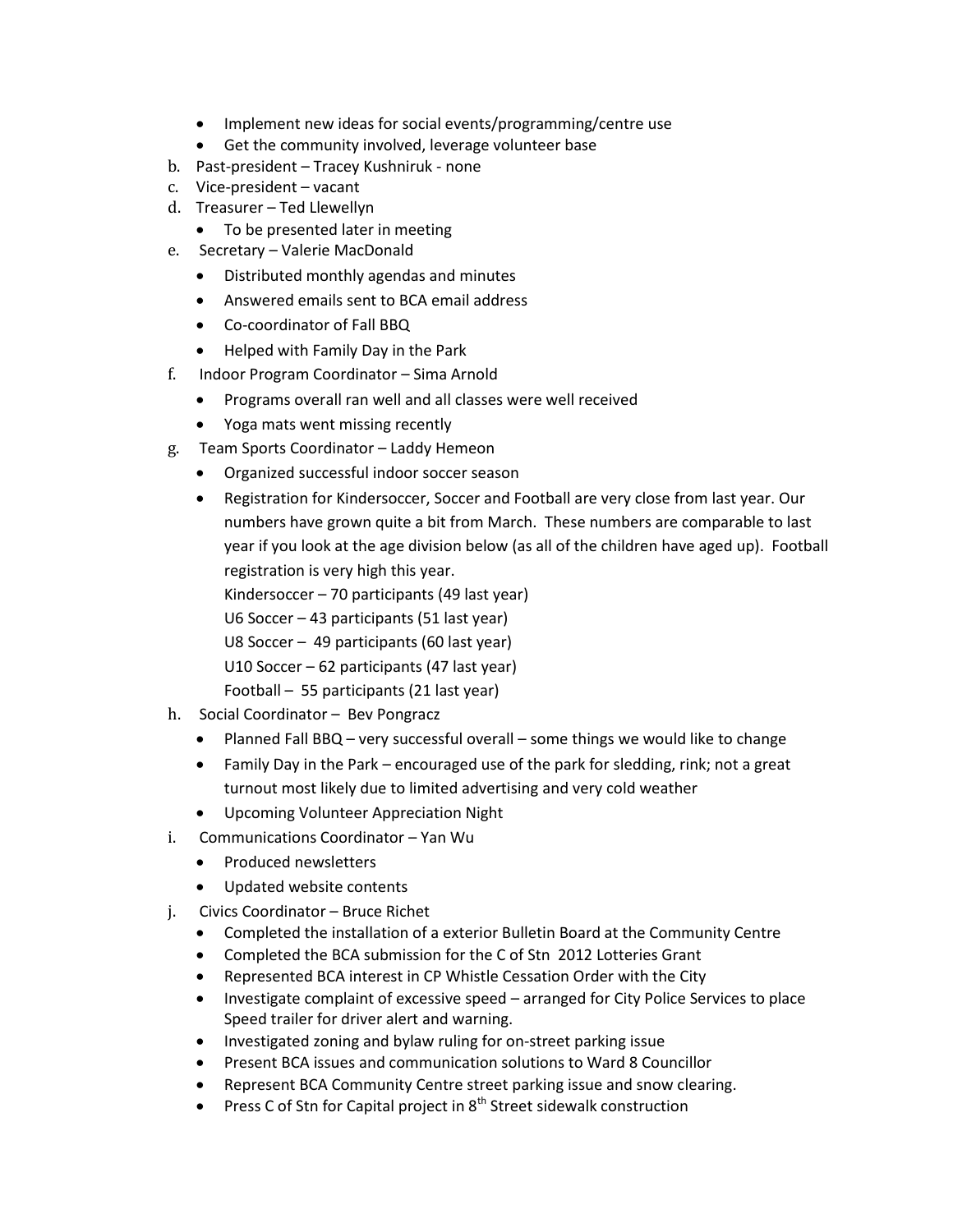- Implement new ideas for social events/programming/centre use
- Get the community involved, leverage volunteer base
- b. Past-president Tracey Kushniruk none
- c. Vice-president vacant
- d. Treasurer Ted Llewellyn
	- To be presented later in meeting
- e. Secretary Valerie MacDonald
	- Distributed monthly agendas and minutes
	- Answered emails sent to BCA email address
	- Co-coordinator of Fall BBQ
	- Helped with Family Day in the Park
- f. Indoor Program Coordinator Sima Arnold
	- Programs overall ran well and all classes were well received
	- Yoga mats went missing recently
- g. Team Sports Coordinator Laddy Hemeon
	- Organized successful indoor soccer season
	- Registration for Kindersoccer, Soccer and Football are very close from last year. Our numbers have grown quite a bit from March. These numbers are comparable to last year if you look at the age division below (as all of the children have aged up). Football registration is very high this year.

Kindersoccer – 70 participants (49 last year)

U6 Soccer – 43 participants (51 last year)

U8 Soccer – 49 participants (60 last year)

U10 Soccer – 62 participants (47 last year)

Football – 55 participants (21 last year)

- h. Social Coordinator Bev Pongracz
	- Planned Fall BBQ very successful overall some things we would like to change
	- Family Day in the Park encouraged use of the park for sledding, rink; not a great turnout most likely due to limited advertising and very cold weather
	- Upcoming Volunteer Appreciation Night
- i. Communications Coordinator Yan Wu
	- Produced newsletters
	- Updated website contents
- j. Civics Coordinator Bruce Richet
	- Completed the installation of a exterior Bulletin Board at the Community Centre
	- Completed the BCA submission for the C of Stn 2012 Lotteries Grant
	- Represented BCA interest in CP Whistle Cessation Order with the City
	- Investigate complaint of excessive speed arranged for City Police Services to place Speed trailer for driver alert and warning.
	- Investigated zoning and bylaw ruling for on-street parking issue
	- Present BCA issues and communication solutions to Ward 8 Councillor
	- Represent BCA Community Centre street parking issue and snow clearing.
	- **•** Press C of Stn for Capital project in  $8<sup>th</sup>$  Street sidewalk construction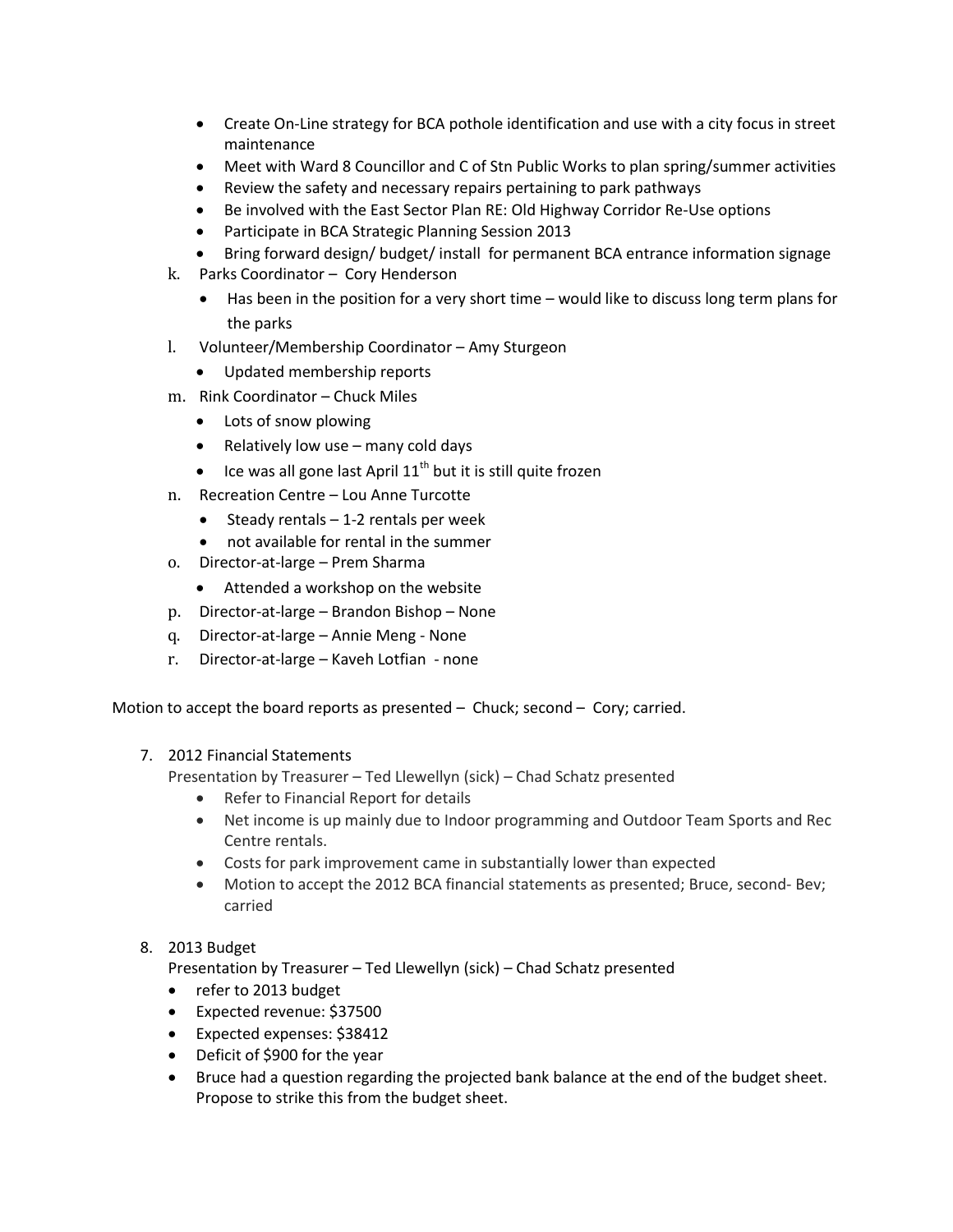- Create On-Line strategy for BCA pothole identification and use with a city focus in street maintenance
- Meet with Ward 8 Councillor and C of Stn Public Works to plan spring/summer activities
- Review the safety and necessary repairs pertaining to park pathways
- Be involved with the East Sector Plan RE: Old Highway Corridor Re-Use options
- Participate in BCA Strategic Planning Session 2013
- Bring forward design/ budget/ install for permanent BCA entrance information signage
- k. Parks Coordinator Cory Henderson
	- Has been in the position for a very short time would like to discuss long term plans for the parks
- l. Volunteer/Membership Coordinator Amy Sturgeon
	- Updated membership reports
- m. Rink Coordinator Chuck Miles
	- Lots of snow plowing
	- Relatively low use  $-$  many cold days
	- $\bullet$  Ice was all gone last April 11<sup>th</sup> but it is still quite frozen
- n. Recreation Centre Lou Anne Turcotte
	- $\bullet$  Steady rentals 1-2 rentals per week
	- not available for rental in the summer
- o. Director-at-large Prem Sharma
	- Attended a workshop on the website
- p. Director-at-large Brandon Bishop None
- q. Director-at-large Annie Meng None
- r. Director-at-large Kaveh Lotfian none

Motion to accept the board reports as presented – Chuck; second – Cory; carried.

## 7. 2012 Financial Statements

Presentation by Treasurer – Ted Llewellyn (sick) – Chad Schatz presented

- Refer to Financial Report for details
- Net income is up mainly due to Indoor programming and Outdoor Team Sports and Rec Centre rentals.
- Costs for park improvement came in substantially lower than expected
- Motion to accept the 2012 BCA financial statements as presented; Bruce, second- Bev; carried

## 8. 2013 Budget

Presentation by Treasurer – Ted Llewellyn (sick) – Chad Schatz presented

- refer to 2013 budget
- Expected revenue: \$37500
- Expected expenses: \$38412
- Deficit of \$900 for the year
- Bruce had a question regarding the projected bank balance at the end of the budget sheet. Propose to strike this from the budget sheet.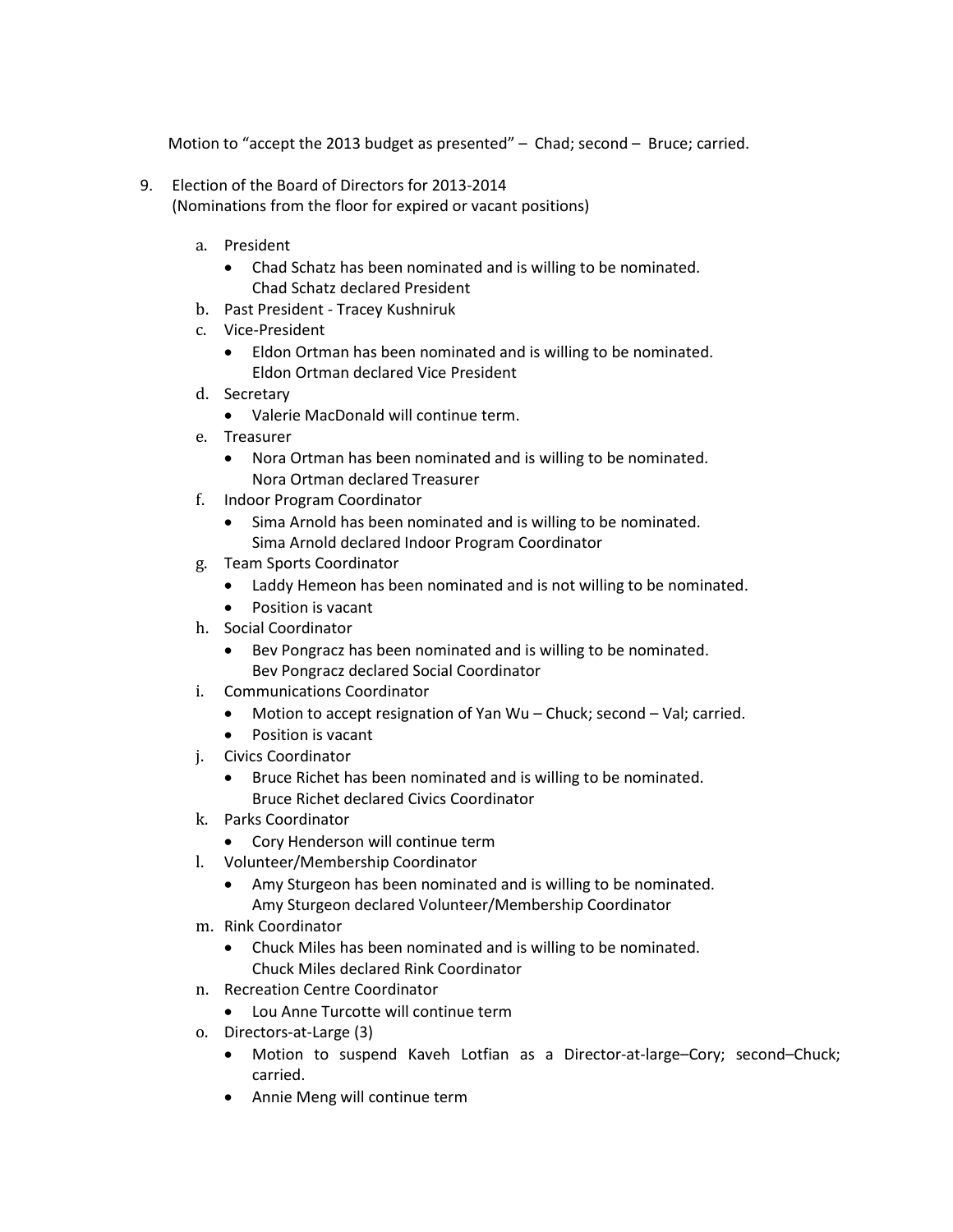Motion to "accept the 2013 budget as presented" – Chad; second – Bruce; carried.

- 9. Election of the Board of Directors for 2013-2014 (Nominations from the floor for expired or vacant positions)
	- a. President
		- Chad Schatz has been nominated and is willing to be nominated. Chad Schatz declared President
	- b. Past President Tracey Kushniruk
	- c. Vice-President
		- Eldon Ortman has been nominated and is willing to be nominated. Eldon Ortman declared Vice President
	- d. Secretary
		- Valerie MacDonald will continue term.
	- e. Treasurer
		- Nora Ortman has been nominated and is willing to be nominated. Nora Ortman declared Treasurer
	- f. Indoor Program Coordinator
		- Sima Arnold has been nominated and is willing to be nominated. Sima Arnold declared Indoor Program Coordinator
	- g. Team Sports Coordinator
		- Laddy Hemeon has been nominated and is not willing to be nominated.
		- Position is vacant
	- h. Social Coordinator
		- Bev Pongracz has been nominated and is willing to be nominated. Bev Pongracz declared Social Coordinator
	- i. Communications Coordinator
		- Motion to accept resignation of Yan Wu Chuck; second Val; carried.
		- Position is vacant
	- j. Civics Coordinator
		- Bruce Richet has been nominated and is willing to be nominated. Bruce Richet declared Civics Coordinator
	- k. Parks Coordinator
		- Cory Henderson will continue term
	- l. Volunteer/Membership Coordinator
		- Amy Sturgeon has been nominated and is willing to be nominated. Amy Sturgeon declared Volunteer/Membership Coordinator
	- m. Rink Coordinator
		- Chuck Miles has been nominated and is willing to be nominated. Chuck Miles declared Rink Coordinator
	- n. Recreation Centre Coordinator
		- Lou Anne Turcotte will continue term
	- o. Directors-at-Large (3)
		- Motion to suspend Kaveh Lotfian as a Director-at-large–Cory; second–Chuck; carried.
		- Annie Meng will continue term